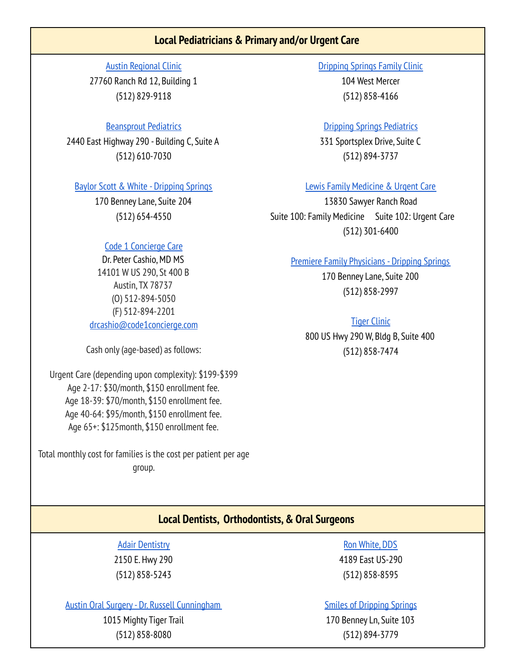# **Local Pediatricians & Primary and/or Urgent Care**

Austin [Regional](https://www.austinregionalclinic.com/clinics/arc-dripping-springs) Clinic 27760 Ranch Rd 12, Building 1 (512) 829-9118

### [Beansprout](https://www.beansproutpediatrics.com/) Pediatrics

2440 East Highway 290 - Building C, Suite A (512) 610-7030

### Baylor Scott & White - [Dripping](https://www.bswhealth.com/locations/dripping-springs-clinic) Springs

170 Benney Lane, Suite 204 (512) 654-4550

## Code 1 [Concierge](https://www.code1concierge.com/) Care

Dr. Peter Cashio, MD MS 14101 W US 290, St 400 B Austin, TX 78737 (O) 512-894-5050 (F) 512-894-2201 [drcashio@code1concierge.com](mailto:drcashio@code1concierge.com)

Cash only(age-based) as follows:

Urgent Care (depending upon complexity): \$199-\$399 Age 2-17: \$30/month, \$150 enrollment fee. Age 18-39: \$70/month, \$150 enrollment fee. Age 40-64: \$95/month, \$150 enrollment fee. Age 65+: \$125month, \$150 enrollment fee.

Total monthly cost for families is the cost per patient per age group.

[Dripping](https://www.drippingspringsfamilyclinic.com/) Springs Family Clinic 104 West Mercer (512) 858-4166

#### Dripping Springs [Pediatrics](https://www.dspediatrics.com/)

331 Sportsplex Drive, Suite C (512) 894-3737

#### Lewis Family [Medicine](https://lewisfamilymed.com/) & Urgent Care

13830 Sawyer Ranch Road Suite 100: Family Medicine Suite 102: Urgent Care (512) 301-6400

#### Premiere Family [Physicians](https://www.pfpdocs.com/dripping-springs-team) - Dripping Springs

170 Benney Lane, Suite 200 (512) 858-2997

#### Tiger [Clinic](http://www.wimberleypediatrics.com/)

800 US Hwy 290 W, Bldg B, Suite 400 (512) 858-7474

## **Local Dentists, Orthodontists,& Oral Surgeons**

Adair [Dentistry](https://www.adairdds.com/) 2150 E. Hwy 290 (512) 858-5243

Austin Oral Surgery- Dr. Russell [Cunningham](https://austinoralsurgery.com/locations/dripping-springs/)

1015 Mighty Tiger Trail (512) 858-8080

Ron [White,](https://www.ronswhite.com/) DDS 4189 East US-290 (512) 858-8595

#### Smiles of [Dripping](https://smilesofaustin.net/locations/) Springs

170 Benney Ln, Suite 103 (512) 894-3779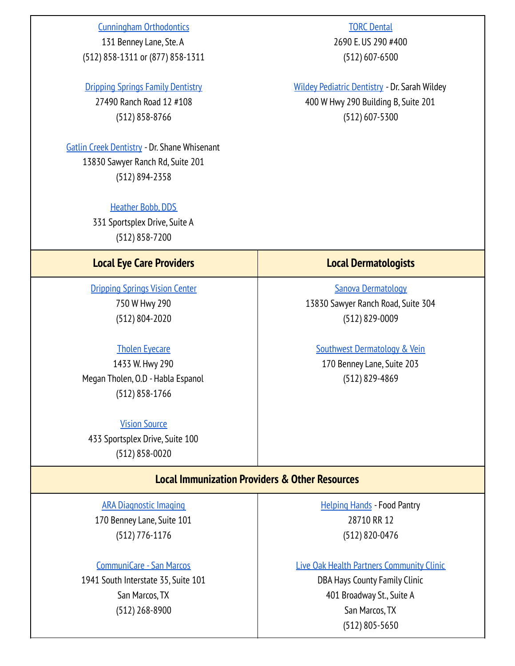### Cunningham [Orthodontics](https://www.cunninghamorthodontics.com/)

131 Benney Lane, Ste. A (512) 858-1311 or (877) 858-1311

## Dripping Springs Family [Dentistry](https://drippingspringsfamilydentistry.com/)

27490 Ranch Road 12 #108 (512) 858-8766

Gatlin Creek [Dentistry](https://www.gatlincreekdentistry.com/) - Dr. Shane Whisenant 13830 Sawyer Ranch Rd, Suite 201 (512) 894-2358

#### [Heather](https://www.heatherbobb.com/) Bobb, DDS

331 Sportsplex Drive, Suite A (512) 858-7200

## **Local Eye Care Providers Local Dermatologists**

[Dripping](https://drippingspringsvisioncenter.com/) Springs Vision Center 750 W Hwy 290 (512) 804-2020

### Tholen [Eyecare](https://www.tholeneyecare.com/)

1433 W. Hwy 290 Megan Tholen, O.D - Habla Espanol (512) 858-1766

#### Vision [Source](https://drippingspringseyecare.com/)

433 Sportsplex Drive, Suite 100 (512) 858-0020

**TORC [Dental](http://torcdental.com)** 2690 E. US 290 #400 (512) 607-6500

Wildey Pediatric [Dentistry](https://www.wildeydstx.com/) - Dr. Sarah Wildey 400 W Hwy 290 Building B, Suite 201 (512) 607-5300

Sanova [Dermatology](https://www.sanovadermatology.com/locations/dripping-springs/) 13830 Sawyer Ranch Road, Suite 304

(512) 829-0009

Southwest [Dermatology](http://swskin.com/) & Vein 170 Benney Lane, Suite 203 (512) 829-4869

# **Local Immunization Providers & Other Resources**

ARA [Diagnostic](https://www.ausrad.com/location/dripping-springs/) Imaging 170 Benney Lane, Suite 101

(512) 776-1176

## [CommuniCare](https://www.communicaresa.org/san-marcos-tx/) - San Marcos

1941 South Interstate 35, Suite 101 San Marcos, TX (512) 268-8900

[Helping](https://www.helpinghands-drippingsprings.org/) Hands - Food Pantry 28710 RR 12 (512) 820-0476

Live Oak Health Partners [Community](http://liveoakhealthpartners.com) Clinic

DBA Hays County Family Clinic 401 Broadway St., Suite A San Marcos, TX (512) 805-5650